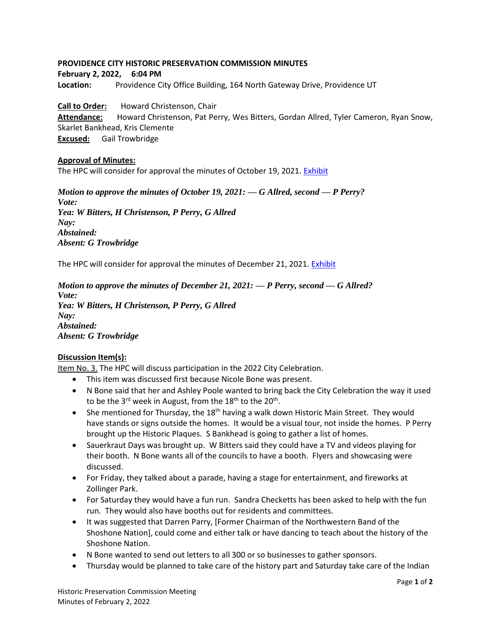## **PROVIDENCE CITY HISTORIC PRESERVATION COMMISSION MINUTES**

**February 2, 2022, 6:04 PM**

**Location:** Providence City Office Building, 164 North Gateway Drive, Providence UT

**Call to Order:** Howard Christenson, Chair **Attendance:** Howard Christenson, Pat Perry, Wes Bitters, Gordan Allred, Tyler Cameron, Ryan Snow, Skarlet Bankhead, Kris Clemente **Excused:** Gail Trowbridge

## **Approval of Minutes:**

The HPC will consider for approval the minutes of October 19, 2021[. Exhibit](https://providencecity.com/wp-content/uploads/2022/01/hpc-min-10-19-2021-DRAFT.pdf)

*Motion to approve the minutes of October 19, 2021: — G Allred, second — P Perry? Vote: Yea: W Bitters, H Christenson, P Perry, G Allred Nay: Abstained: Absent: G Trowbridge*

The HPC will consider for approval the minutes of December 21, 2021. [Exhibit](https://providencecity.com/wp-content/uploads/2022/02/hpc-min-12-21-2021-DRAFT.pdf)

*Motion to approve the minutes of December 21, 2021: — P Perry, second — G Allred? Vote: Yea: W Bitters, H Christenson, P Perry, G Allred Nay: Abstained: Absent: G Trowbridge*

## **Discussion Item(s):**

Item No. 3. The HPC will discuss participation in the 2022 City Celebration.

- This item was discussed first because Nicole Bone was present.
- N Bone said that her and Ashley Poole wanted to bring back the City Celebration the way it used to be the 3 $^{\rm rd}$  week in August, from the 18 $^{\rm th}$  to the 20 $^{\rm th}$ .
- She mentioned for Thursday, the  $18<sup>th</sup>$  having a walk down Historic Main Street. They would have stands or signs outside the homes. It would be a visual tour, not inside the homes. P Perry brought up the Historic Plaques. S Bankhead is going to gather a list of homes.
- Sauerkraut Days was brought up. W Bitters said they could have a TV and videos playing for their booth. N Bone wants all of the councils to have a booth. Flyers and showcasing were discussed.
- For Friday, they talked about a parade, having a stage for entertainment, and fireworks at Zollinger Park.
- For Saturday they would have a fun run. Sandra Checketts has been asked to help with the fun run. They would also have booths out for residents and committees.
- It was suggested that Darren Parry, [Former Chairman of the Northwestern Band of the Shoshone Nation], could come and either talk or have dancing to teach about the history of the Shoshone Nation.
- N Bone wanted to send out letters to all 300 or so businesses to gather sponsors.
- Thursday would be planned to take care of the history part and Saturday take care of the Indian